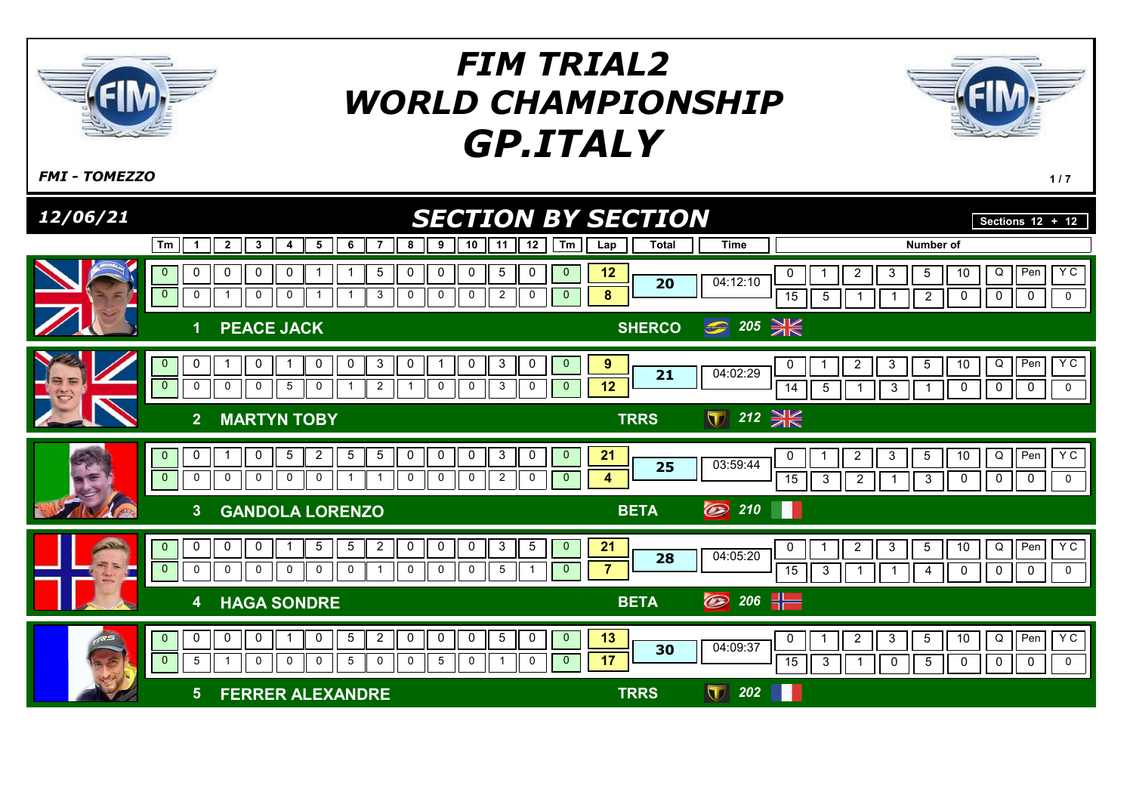

 $F$ MI - TOMEZZO  $1/7$ 

| 12/06/21                 |                                                    |                                                                                                                                                                                       | <b>SECTION BY SECTION</b>                                                                                  |                                      |                                                              | Sections $12 + 12$                                                                                                                         |
|--------------------------|----------------------------------------------------|---------------------------------------------------------------------------------------------------------------------------------------------------------------------------------------|------------------------------------------------------------------------------------------------------------|--------------------------------------|--------------------------------------------------------------|--------------------------------------------------------------------------------------------------------------------------------------------|
|                          | Tm<br>1                                            | $\overline{2}$<br>$\boldsymbol{\cdot}$<br>5<br>8<br>9<br>6<br>7<br>4                                                                                                                  | 10<br>12<br>Tm<br>11<br>Lap                                                                                | <b>Total</b>                         | <b>Time</b>                                                  | <b>Number of</b>                                                                                                                           |
|                          | 0<br>$\mathbf{0}$<br>$\overline{0}$<br>$\mathbf 0$ | $\mathbf 0$<br>$5\phantom{.0}$<br>$\mathbf 0$<br>0<br>0<br>0<br>$\mathbf 0$<br>3<br>$\mathbf 0$<br>$\mathbf 0$<br>0                                                                   | $5\phantom{.0}$<br>12<br>0<br>0<br>$\mathbf{0}$<br>8<br>$\mathbf 0$<br>$\overline{2}$<br>0<br>$\mathbf{0}$ | 20                                   | $\overline{2}$<br>0<br>04:12:10<br>15<br>5                   | Y C<br>$\overline{5}$<br>Q<br>Pen<br>10<br>3<br>$\mathbf 0$<br>$\mathbf 0$<br>$\mathbf 0$<br>$\overline{2}$<br>0                           |
|                          | 1                                                  | <b>PEACE JACK</b>                                                                                                                                                                     |                                                                                                            | <b>SHERCO</b>                        | $\bigcirc$ 205 $\cancel{\cong}$                              |                                                                                                                                            |
| $\overline{\phantom{a}}$ | 0<br>$\mathbf{0}$<br>$\overline{0}$<br>$\mathbf 0$ | $\mathbf{3}$<br>0<br>0<br>0<br>0<br>$\mathbf 0$<br>5<br>$\overline{2}$<br>$\mathbf 0$<br>$\mathbf 0$<br>0<br>$\mathbf{1}$                                                             | 9<br>3<br>$\mathbf{0}$<br>0<br>0<br>12<br>0<br>3<br>0<br>$\mathbf{0}$                                      | 21                                   | 2<br>04:02:29<br>$5\phantom{.0}$<br>14<br>-1                 | YC<br>I Pen<br>3<br>$5\phantom{.0}$<br>10<br>Q<br>$\mathbf 0$<br>$\mathbf{3}$<br>0<br>$\mathbf 0$<br>$\mathbf 0$<br>1                      |
|                          | $\overline{2}$                                     | <b>MARTYN TOBY</b>                                                                                                                                                                    |                                                                                                            | $\blacksquare$<br><b>TRRS</b>        | $212 \cancel{\frac{36}{10}}$                                 |                                                                                                                                            |
| A AET                    | 0<br>$\mathbf{0}$<br>$\mathbf{0}$<br>0             | $\overline{2}$<br>$5\phantom{.0}$<br>$\mathsf 0$<br>$\mathbf 0$<br>5<br>5<br>0<br>0<br>0<br>$\mathbf 0$<br>0<br>0<br>0<br>$\mathbf{1}$<br>-1                                          | 21<br>3<br>0<br>0<br>$\mathbf{0}$<br>$\overline{2}$<br>$\overline{0}$<br>0<br>4<br>0                       | 25                                   | $\overline{c}$<br>0<br>03:59:44<br>15<br>3<br>$\overline{2}$ | <b>YC</b><br>Q<br>Per<br>3<br>$5\phantom{.0}$<br>10<br>$\mathbf 0$<br>$\mathbf 0$<br>$\mathbf 0$<br>$\mathbf{3}$<br>$\mathbf 0$            |
|                          | 3                                                  | <b>GANDOLA LORENZO</b>                                                                                                                                                                |                                                                                                            | O<br><b>BETA</b>                     | 210<br>Ш                                                     |                                                                                                                                            |
|                          | 0<br>$\mathbf{0}$<br>$\overline{0}$<br>$\mathbf 0$ | $\overline{2}$<br>$\mathbf 0$<br>$5\overline{)}$<br>$\mathbf 0$<br>$\mathbf 0$<br>0<br>5<br>$\mathsf{O}$<br>$\mathbf 0$<br>$\mathbf 0$<br>$\mathbf 0$<br>0<br>$\mathbf 0$<br>$\Omega$ | $\mathbf{3}$<br>5<br>21<br>0<br>$\mathbf{0}$<br>7<br>0<br>0<br>5                                           | 28                                   | $\overline{2}$<br>0<br>04:05:20<br>15<br>3<br>$\mathbf 1$    | $Y$ C<br>$\sqrt{\frac{1}{2}}$<br>$\mathbf{3}$<br>$5\overline{)}$<br>10<br>Q<br>$\mathbf 0$<br>$\mathbf 0$<br>$\mathbf 0$<br>0<br>4<br>1    |
|                          | 4                                                  | <b>HAGA SONDRE</b>                                                                                                                                                                    |                                                                                                            | O<br><b>BETA</b>                     | 206 $-$                                                      |                                                                                                                                            |
|                          | 0<br>$\mathbf{0}$<br>$\mathbf{0}$<br>5             | $\mathbf 0$<br>$\overline{2}$<br>$\mathbf 0$<br>$\mathbf 0$<br>0<br>5<br>0<br>$\mathbf 0$<br>$\Omega$<br>5<br>$\mathbf 0$<br>$\mathbf 0$<br>5<br>$\Omega$                             | 13<br>$\overline{5}$<br>$\pmb{0}$<br>$\overline{0}$<br>0<br>17<br>$\mathbf 0$<br>0<br>$\mathbf{0}$         | 30                                   | $\overline{2}$<br>0<br>04:09:37<br>15<br>3<br>1              | $\mathsf Q$<br>YC<br>II Pen<br>$\mathbf{3}$<br>$5\phantom{.0}$<br>10<br>$\mathbf 0$<br>$\mathbf 0$<br>0<br>$\,$ 5 $\,$<br>0<br>$\mathbf 0$ |
|                          | $5\phantom{1}$                                     | <b>FERRER ALEXANDRE</b>                                                                                                                                                               |                                                                                                            | $\boldsymbol{\nabla}$<br><b>TRRS</b> | 202                                                          |                                                                                                                                            |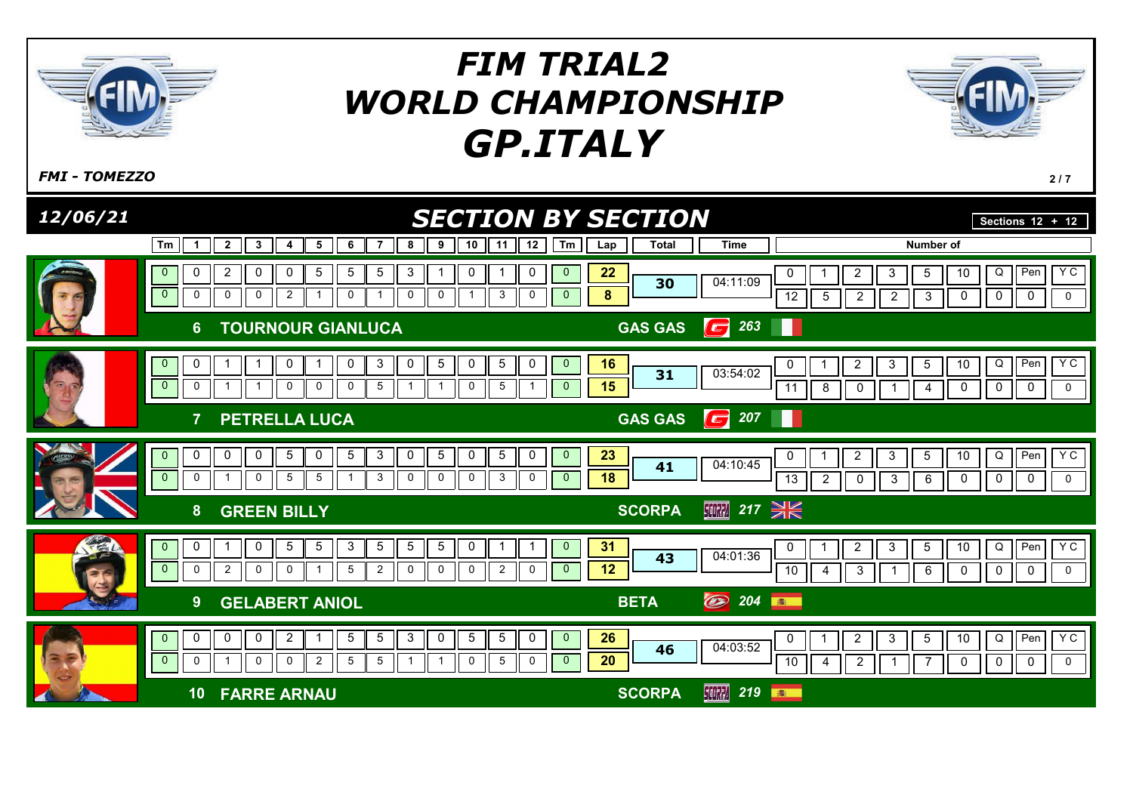

 $F$ MI - TOMEZZO  $2/7$ 

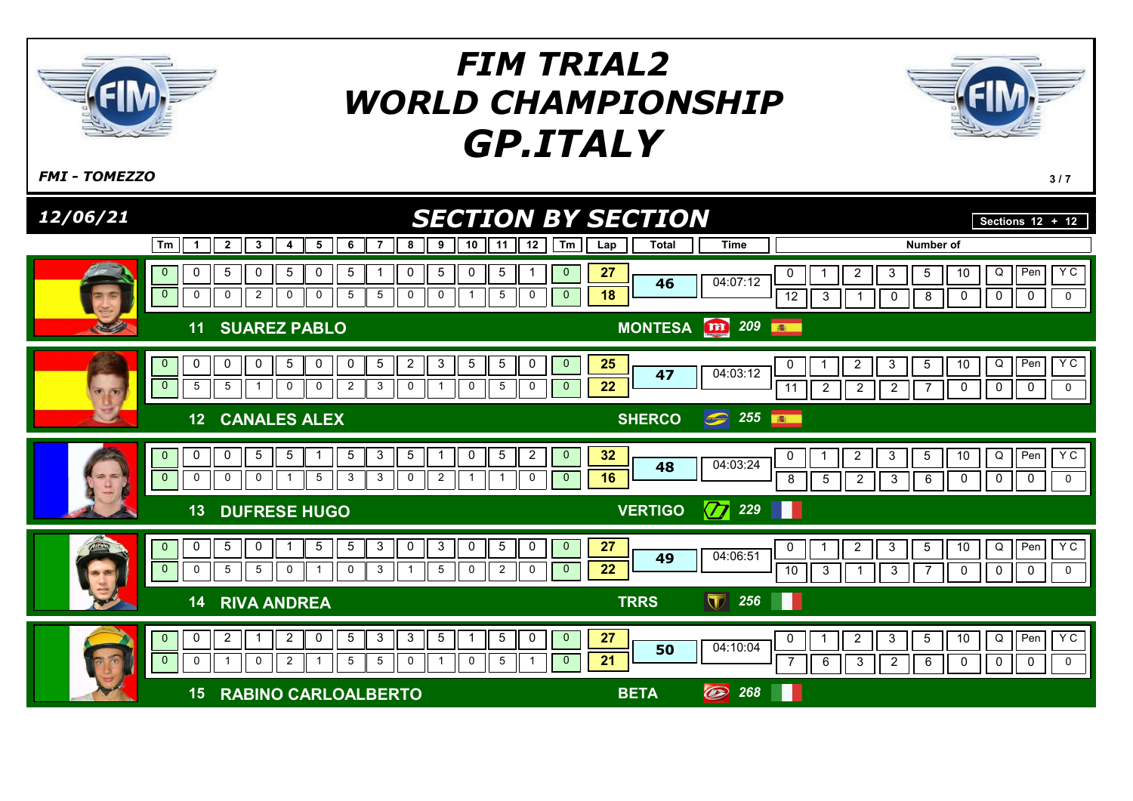

 $F$ MI - TOMEZZO  $3/7$ 

| 12/06/21                              |                                                                                                                                                                                                                                                                              | <b>SECTION BY SECTION</b>                                                               | Sections $12 + 12$                                                                                                                                                                             |
|---------------------------------------|------------------------------------------------------------------------------------------------------------------------------------------------------------------------------------------------------------------------------------------------------------------------------|-----------------------------------------------------------------------------------------|------------------------------------------------------------------------------------------------------------------------------------------------------------------------------------------------|
|                                       | 10<br>12<br>Tm<br>$\overline{2}$<br>$\boldsymbol{\cdot}$<br>5<br>8<br>9<br>11<br>6<br>7<br>1<br>4                                                                                                                                                                            | Tm<br><b>Total</b><br><b>Time</b><br>Lap                                                | <b>Number of</b>                                                                                                                                                                               |
| E                                     | $5\phantom{.0}$<br>0<br>$5\phantom{.0}$<br>$\mathbf 0$<br>0<br>0<br>0<br>5<br>5<br>5<br>$\mathbf{0}$<br>$\overline{0}$<br>$\mathbf 0$<br>$\overline{2}$<br>5<br>$5\phantom{.0}$<br>$\mathbf 0$<br>5<br>0<br>$\mathbf 0$<br>0<br>0<br>0<br>$\mathbf{1}$                       | 27<br>$\mathbf{0}$<br>0<br>04:07:12<br>46<br>18<br>$\mathbf{0}$<br>12<br>3              | Pen<br>Y C<br>$\overline{5}$<br>Q<br>10<br>$\overline{c}$<br>3<br>$\mathbf 0$<br>$\mathbf 0$<br>$\mathbf 0$<br>8<br>0<br>0                                                                     |
|                                       | <b>SUAREZ PABLO</b><br>11                                                                                                                                                                                                                                                    | MONTESA <b>In</b> 209<br>卷                                                              |                                                                                                                                                                                                |
| $\overline{\mathbf{c}}$<br><b>Fox</b> | $\mathbf{3}$<br>5<br>$\overline{c}$<br>$5\phantom{.0}$<br>0<br>0<br>0<br>5<br>0<br>5<br>0<br>0<br>$\mathbf{0}$<br>$\overline{0}$<br>5<br>3<br>$5\phantom{.0}$<br>5<br>$\mathbf 0$<br>$\mathbf 0$<br>$\overline{2}$<br>0<br>0<br>0<br>$\overline{\mathbf{1}}$<br>$\mathbf{1}$ | 25<br>$\mathbf{0}$<br>0<br>04:03:12<br>47<br>22<br>$\mathbf{0}$<br>$\overline{2}$<br>11 | YC<br>Q<br>I Pen<br>$\overline{c}$<br>3<br>$\overline{5}$<br>10<br>$\mathbf 0$<br>$\mathbf 0$<br>$\mathbf 0$<br>$\overline{2}$<br>0<br>$\overline{c}$<br>7                                     |
|                                       | <b>CANALES ALEX</b><br>12                                                                                                                                                                                                                                                    | 255<br>$\bigodot$<br><b>SHERCO</b><br><b>BOOK</b>                                       |                                                                                                                                                                                                |
| お気                                    | $\sqrt{5}$<br>$\mathbf{3}$<br>5<br>$5\phantom{.0}$<br>$\overline{2}$<br>0<br>0<br>5<br>5<br>0<br>$\mathbf{0}$<br>$\overline{0}$<br>0<br>0<br>5<br>3<br>$\mathbf{3}$<br>0<br>$\overline{2}$<br>0<br>$\mathbf{1}$<br>0<br>-1                                                   | 32<br>$\mathbf 0$<br>0<br>04:03:24<br>48<br>16<br>$\mathbf{0}$<br>$\sqrt{5}$<br>8       | Y C<br>Q<br>Pen<br>3<br>$5\phantom{.0}$<br>10<br>$\overline{c}$<br>$\mathbf 0$<br>$\mathbf 0$<br>$\mathbf 0$<br>$\overline{2}$<br>$\mathbf{3}$<br>$\,6\,$<br>$\mathbf 0$                       |
|                                       | <b>DUFRESE HUGO</b><br>13                                                                                                                                                                                                                                                    | $\boxed{7}$ 229<br><b>VERTIGO</b>                                                       |                                                                                                                                                                                                |
|                                       | $\mathbf{3}$<br>$\mathbf{3}$<br>$5\phantom{.0}$<br>0<br>$5\phantom{.0}$<br>$\mathbf 0$<br>5<br>$\mathbf 0$<br>0<br>0<br>$5^{\circ}$<br>$\mathbf{0}$<br>$\overline{0}$<br>$\mathbf 0$<br>$5\phantom{.0}$<br>3<br>5<br>5<br>$\mathbf 0$<br>0<br>$\overline{c}$<br>0<br>0       | 27<br>$\mathbf{0}$<br>0<br>04:06:51<br>49<br>22<br>$\mathbf{0}$<br>10<br>3              | $Y$ C<br>Q<br>$\sqrt{\frac{1}{2}}$<br>$\overline{2}$<br>3<br>$5\phantom{.0}$<br>10<br>$\mathbf 0$<br>$\mathbf 0$<br>$\mathbf 0$<br>3<br>7<br>0<br>-1                                           |
|                                       | <b>RIVA ANDREA</b><br>14                                                                                                                                                                                                                                                     | $\blacksquare$<br>256<br><b>TRRS</b><br>Ш                                               |                                                                                                                                                                                                |
|                                       | $\mathbf{3}$<br>$\mathbf{3}$<br>$5\phantom{.0}$<br>$\overline{5}$<br>$\pmb{0}$<br>0<br>$\overline{2}$<br>$\overline{c}$<br>5<br>$\mathbf{0}$<br>0<br>$\mathbf{1}$<br>$\mathbf{0}$<br>$\mathbf 0$<br>0<br>2<br>5<br>5<br>$\mathbf 0$<br>$\mathbf 0$<br>5<br>$\mathbf 1$       | 27<br>$\overline{0}$<br>0<br>04:10:04<br>50<br>21<br>$\mathbf{0}$<br>6                  | Y C<br>$\sf Q$<br>$\blacksquare$ Pen<br>$\overline{2}$<br>$\mathbf{3}$<br>$5\phantom{.0}$<br>10<br>$\mathbf{3}$<br>$\overline{2}$<br>$\mathbf 0$<br>$\mathbf 0$<br>$\mathbf 0$<br>$\,6\,$<br>0 |
|                                       | <b>RABINO CARLOALBERTO</b><br>15                                                                                                                                                                                                                                             | $\circledcirc$<br>268<br><b>BETA</b>                                                    |                                                                                                                                                                                                |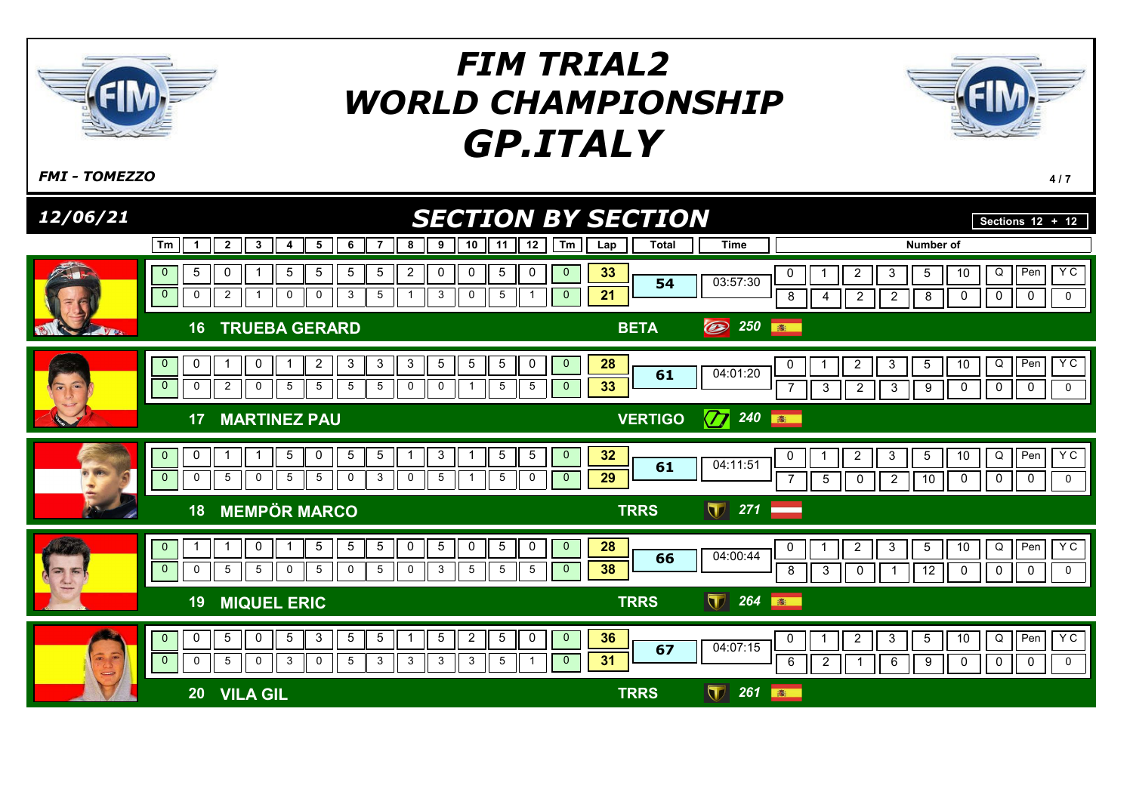

 $F$ MI - TOMEZZO  $^{4/7}$ 

| 12/06/21                 |                                                                                                                                                                                                                                                                                                                                      | <b>SECTION BY SECTION</b>                                                      | Sections $12 + 12$                                                                                                                                                                                          |
|--------------------------|--------------------------------------------------------------------------------------------------------------------------------------------------------------------------------------------------------------------------------------------------------------------------------------------------------------------------------------|--------------------------------------------------------------------------------|-------------------------------------------------------------------------------------------------------------------------------------------------------------------------------------------------------------|
|                          | $\overline{2}$<br>6<br>9<br>10<br>Tm<br>3<br>5<br>7<br>8<br>11<br>1<br>4                                                                                                                                                                                                                                                             | 12<br><b>Time</b><br><b>Total</b><br>Tm<br>Lap                                 | Number of                                                                                                                                                                                                   |
|                          | $5\phantom{.0}$<br>5<br>$5\phantom{.0}$<br>0<br>5<br>$\overline{c}$<br>0<br>5<br>$\overline{0}$<br>5<br>0<br>$\overline{0}$<br>$\mathbf{3}$<br>5<br>3<br>$\mathbf 0$<br>2<br>$\mathbf 0$<br>$\mathbf 0$<br>0<br>5<br>$\overline{1}$<br>$\mathbf{1}$                                                                                  | 33<br>0<br>$\mathbf{0}$<br>03:57:30<br>54<br>21<br>$\mathbf{0}$                | Y C<br>Q<br>Pen<br>$\overline{c}$<br>$\overline{5}$<br>10<br>3<br>0<br>$\mathbf 0$<br>$\boldsymbol{2}$<br>$\overline{0}$<br>$\mathbf 0$<br>8<br>$\overline{2}$<br>8<br>0<br>4                               |
|                          | <b>TRUEBA GERARD</b><br>16                                                                                                                                                                                                                                                                                                           | $\circledB$<br>250<br><b>BETA</b>                                              | 卷                                                                                                                                                                                                           |
| $\sim$<br>$\overline{a}$ | $\overline{2}$<br>$\mathbf{3}$<br>$\mathbf{3}$<br>$\overline{5}$<br>$\,$ 5 $\,$<br>$\,$ 5 $\,$<br>0<br>0<br>$\mathbf{3}$<br>$\mathbf{0}$<br>$\overline{1}$<br>$\overline{0}$<br>$\overline{2}$<br>$\mathbf 0$<br>5<br>5<br>$5\phantom{.0}$<br>$5\phantom{.0}$<br>$\overline{5}$<br>0<br>$\mathbf 0$<br>$\mathbf 0$<br>$\overline{1}$ | 28<br>$\mathbf 0$<br>$\mathbf{0}$<br>04:01:20<br>61<br>33<br>5<br>$\mathbf{0}$ | YC<br>$I$ Pen<br>$5\phantom{.0}$<br>Q<br>$\overline{a}$<br>3<br>10<br>0<br>$\mathsf 0$<br>$\mathbf 0$<br>$\mathbf 0$<br>$\overline{7}$<br>$\mathbf{3}$<br>$\overline{2}$<br>$\boldsymbol{9}$<br>0<br>3      |
|                          | <b>MARTINEZ PAU</b><br>17                                                                                                                                                                                                                                                                                                            | $\boxed{7}$ 240 $\boxed{ }$<br><b>VERTIGO</b>                                  |                                                                                                                                                                                                             |
|                          | $\mathbf{3}$<br>$5\phantom{.0}$<br>$5\phantom{.0}$<br>$\overline{5}$<br>0<br>5<br>0<br>$\mathbf{0}$<br>1<br>-1<br>-1<br>1<br>$\mathbf{0}$<br>$\mathbf{3}$<br>$\mathbf 0$<br>5<br>$\mathbf 0$<br>5<br>5<br>0<br>0<br>5<br>5<br>-1                                                                                                     | 32<br>5<br>$\mathbf{0}$<br>04:11:51<br>61<br>29<br>0<br>$\mathbf{0}$           | YC<br>$\sqrt{P_{en}}$<br>Q<br>3<br>$5\phantom{.0}$<br>10<br>$\overline{2}$<br>0<br>$\mathbf 0$<br>$5\phantom{.0}$<br>$\overline{2}$<br>10<br>$\mathbf 0$<br>0<br>$\mathbf 0$<br>$\overline{7}$<br>$\pmb{0}$ |
|                          | <b>MEMPÖR MARCO</b><br>18                                                                                                                                                                                                                                                                                                            | $\sqrt{7}$ 271<br><b>TRRS</b>                                                  |                                                                                                                                                                                                             |
| 需<br>$\rightarrow$       | $\mathbf 0$<br>$5\phantom{.0}$<br>5 <sub>5</sub><br>$5\phantom{.0}$<br>$\overline{5}$<br>$\mathbf 0$<br>$5\phantom{.0}$<br>$\mathbf{1}$<br>0<br>$\overline{0}$<br>$\overline{0}$<br>$5\phantom{.0}$<br>$5\phantom{.0}$<br>$\mathbf 0$<br>5<br>5<br>0<br>0<br>3<br>5<br>$5\phantom{.0}$<br>$\mathbf 0$                                | 28<br>0<br>$\overline{0}$<br>04:00:44<br>66<br>38<br>5<br>$\mathbf{0}$         | Y C<br>$\sf Q$<br>Pen<br>$\overline{2}$<br>3<br>$5\phantom{.0}$<br>10<br>0<br>$\overline{12}$<br>$\mathbf 0$<br>8<br>3<br>0<br>$\mathbf 0$<br>$\mathbf 0$<br>$\pmb{0}$                                      |
|                          | <b>MIQUEL ERIC</b><br>19                                                                                                                                                                                                                                                                                                             | $\blacksquare$<br>264<br><b>TRRS</b>                                           | 高                                                                                                                                                                                                           |
| $\overline{a}$           | $5\phantom{.0}$<br>$5\phantom{.0}$<br>5<br>3<br>5<br>$5\phantom{.0}$<br>$\overline{2}$<br>$\sqrt{5}$<br>0<br>0<br>$\mathbf{0}$<br>1<br>$\overline{0}$<br>3<br>0<br>5<br>$\mathsf{O}$<br>$\mathbf 0$<br>5<br>3<br>3<br>3<br>3<br>5                                                                                                    | 36<br>0<br>$\mathbf{0}$<br>04:07:15<br>67<br>31<br>$\mathbf{0}$                | YC<br>Q<br>$\sqrt{P_{en}}$<br>$5\phantom{.0}$<br>$\overline{a}$<br>3<br>10<br>$\mathbf 0$<br>$\mathbf 0$<br>$\mathbf 0$<br>$\mathbf 0$<br>$\overline{2}$<br>0<br>6<br>6<br>9<br>-1                          |
|                          | <b>VILA GIL</b><br>20                                                                                                                                                                                                                                                                                                                | $\overline{\mathbf{U}}$<br>261<br><b>TRRS</b>                                  | 高                                                                                                                                                                                                           |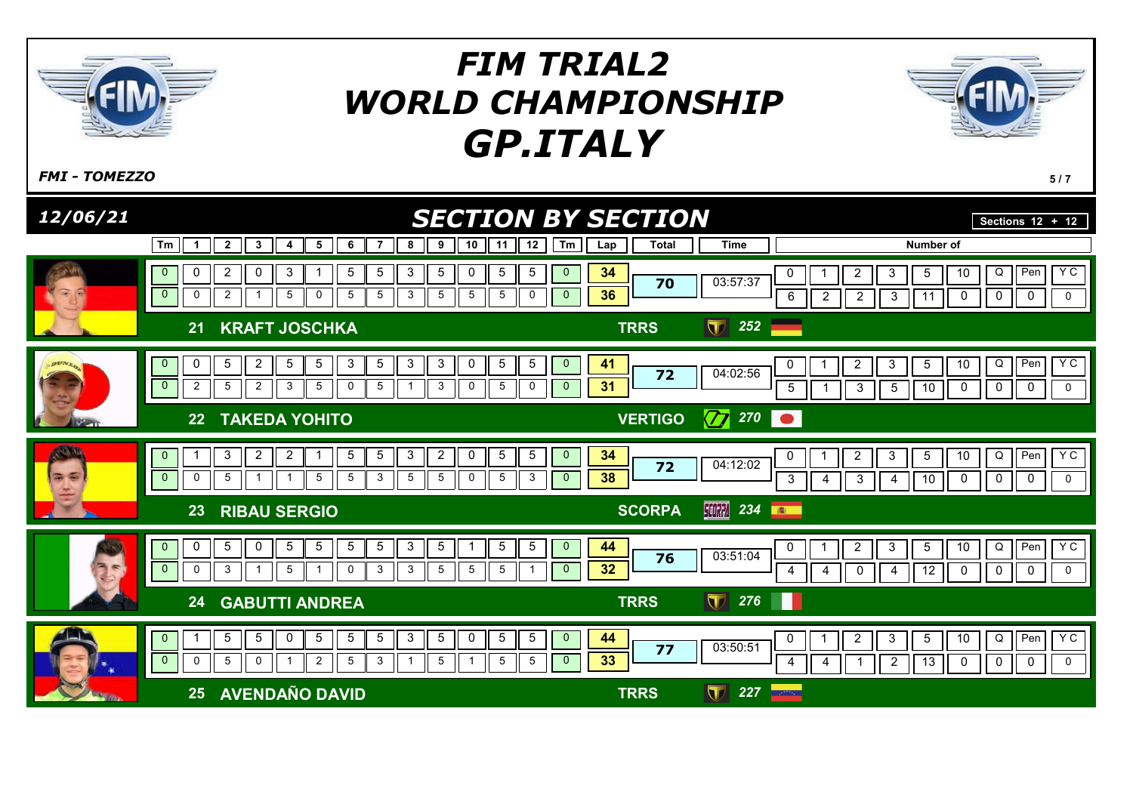

 $F$ MI - TOMEZZO 5/7

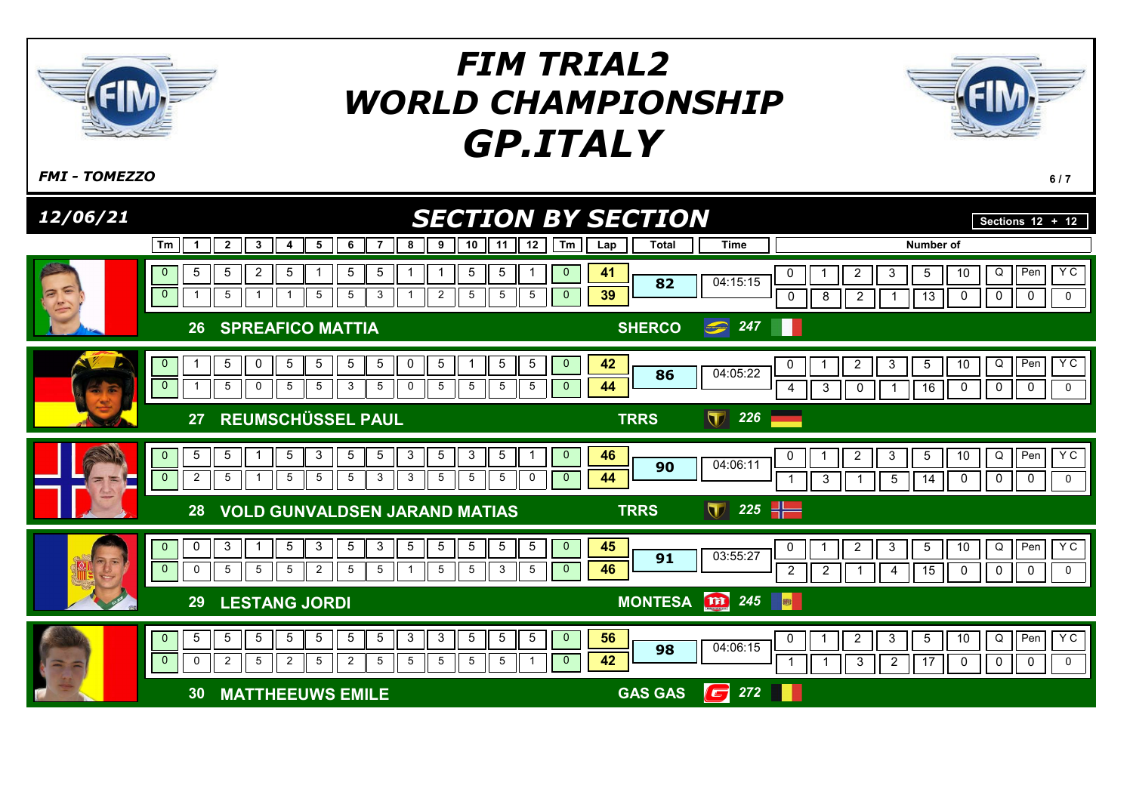

 $F$ MI - TOMEZZO 6/7